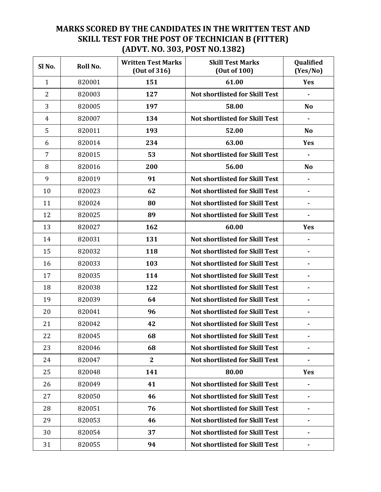## MARKS SCORED BY THE CANDIDATES IN THE WRITTEN TEST AND SKILL TEST FOR THE POST OF TECHNICIAN B (FITTER) (ADVT. NO. 303, POST NO.1382)

| Sl <sub>No.</sub> | Roll No. | <b>Written Test Marks</b><br>(Out of 316) | <b>Skill Test Marks</b><br>(Out of 100) | Qualified<br>(Yes/No) |
|-------------------|----------|-------------------------------------------|-----------------------------------------|-----------------------|
| $\mathbf{1}$      | 820001   | 151                                       | 61.00                                   | Yes                   |
| $\overline{2}$    | 820003   | 127                                       | <b>Not shortlisted for Skill Test</b>   |                       |
| 3                 | 820005   | 197                                       | 58.00                                   | <b>No</b>             |
| $\overline{4}$    | 820007   | 134                                       | <b>Not shortlisted for Skill Test</b>   | $\blacksquare$        |
| 5                 | 820011   | 193                                       | 52.00                                   | <b>No</b>             |
| 6                 | 820014   | 234                                       | 63.00                                   | <b>Yes</b>            |
| $\overline{7}$    | 820015   | 53                                        | <b>Not shortlisted for Skill Test</b>   | $\blacksquare$        |
| 8                 | 820016   | 200                                       | 56.00                                   | No                    |
| 9                 | 820019   | 91                                        | <b>Not shortlisted for Skill Test</b>   | $\blacksquare$        |
| 10                | 820023   | 62                                        | <b>Not shortlisted for Skill Test</b>   | $\blacksquare$        |
| 11                | 820024   | 80                                        | <b>Not shortlisted for Skill Test</b>   |                       |
| 12                | 820025   | 89                                        | <b>Not shortlisted for Skill Test</b>   |                       |
| 13                | 820027   | 162                                       | 60.00                                   | Yes                   |
| 14                | 820031   | 131                                       | <b>Not shortlisted for Skill Test</b>   |                       |
| 15                | 820032   | 118                                       | <b>Not shortlisted for Skill Test</b>   | $\blacksquare$        |
| 16                | 820033   | 103                                       | <b>Not shortlisted for Skill Test</b>   |                       |
| 17                | 820035   | 114                                       | <b>Not shortlisted for Skill Test</b>   |                       |
| 18                | 820038   | 122                                       | <b>Not shortlisted for Skill Test</b>   | $\blacksquare$        |
| 19                | 820039   | 64                                        | <b>Not shortlisted for Skill Test</b>   |                       |
| 20                | 820041   | 96                                        | <b>Not shortlisted for Skill Test</b>   | $\blacksquare$        |
| 21                | 820042   | 42                                        | <b>Not shortlisted for Skill Test</b>   |                       |
| 22                | 820045   | 68                                        | Not shortlisted for Skill Test          |                       |
| 23                | 820046   | 68                                        | <b>Not shortlisted for Skill Test</b>   |                       |
| 24                | 820047   | $\mathbf{2}$                              | Not shortlisted for Skill Test          |                       |
| 25                | 820048   | 141                                       | 80.00                                   | Yes                   |
| 26                | 820049   | 41                                        | <b>Not shortlisted for Skill Test</b>   |                       |
| 27                | 820050   | 46                                        | <b>Not shortlisted for Skill Test</b>   |                       |
| 28                | 820051   | 76                                        | <b>Not shortlisted for Skill Test</b>   |                       |
| 29                | 820053   | 46                                        | <b>Not shortlisted for Skill Test</b>   |                       |
| 30                | 820054   | 37                                        | <b>Not shortlisted for Skill Test</b>   |                       |
| 31                | 820055   | 94                                        | <b>Not shortlisted for Skill Test</b>   |                       |